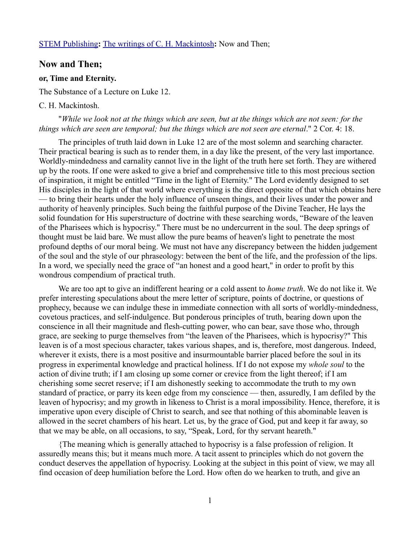# [STEM Publishing](http://www.stempublishing.com/)**:** [The writings of C. H. Mackintosh](http://www.stempublishing.com/authors/mackintosh/index.html)**:** Now and Then;

## **Now and Then;**

#### **or, Time and Eternity.**

The Substance of a Lecture on Luke 12.

## C. H. Mackintosh.

## "*While we look not at the things which are seen, but at the things which are not seen: for the things which are seen are temporal; but the things which are not seen are eternal*." 2 Cor. 4: 18.

The principles of truth laid down in Luke 12 are of the most solemn and searching character. Their practical bearing is such as to render them, in a day like the present, of the very last importance. Worldly-mindedness and carnality cannot live in the light of the truth here set forth. They are withered up by the roots. If one were asked to give a brief and comprehensive title to this most precious section of inspiration, it might be entitled "Time in the light of Eternity." The Lord evidently designed to set His disciples in the light of that world where everything is the direct opposite of that which obtains here — to bring their hearts under the holy influence of unseen things, and their lives under the power and authority of heavenly principles. Such being the faithful purpose of the Divine Teacher, He lays the solid foundation for His superstructure of doctrine with these searching words, "Beware of the leaven of the Pharisees which is hypocrisy." There must be no undercurrent in the soul. The deep springs of thought must be laid bare. We must allow the pure beams of heaven's light to penetrate the most profound depths of our moral being. We must not have any discrepancy between the hidden judgement of the soul and the style of our phraseology: between the bent of the life, and the profession of the lips. In a word, we specially need the grace of "an honest and a good heart," in order to profit by this wondrous compendium of practical truth.

We are too apt to give an indifferent hearing or a cold assent to *home truth*. We do not like it. We prefer interesting speculations about the mere letter of scripture, points of doctrine, or questions of prophecy, because we can indulge these in immediate connection with all sorts of worldly-mindedness, covetous practices, and self-indulgence. But ponderous principles of truth, bearing down upon the conscience in all their magnitude and flesh-cutting power, who can bear, save those who, through grace, are seeking to purge themselves from "the leaven of the Pharisees, which is hypocrisy?" This leaven is of a most specious character, takes various shapes, and is, therefore, most dangerous. Indeed, wherever it exists, there is a most positive and insurmountable barrier placed before the soul in its progress in experimental knowledge and practical holiness. If I do not expose my *whole soul* to the action of divine truth; if I am closing up some corner or crevice from the light thereof; if I am cherishing some secret reserve; if I am dishonestly seeking to accommodate the truth to my own standard of practice, or parry its keen edge from my conscience — then, assuredly, I am defiled by the leaven of hypocrisy; and my growth in likeness to Christ is a moral impossibility. Hence, therefore, it is imperative upon every disciple of Christ to search, and see that nothing of this abominable leaven is allowed in the secret chambers of his heart. Let us, by the grace of God, put and keep it far away, so that we may be able, on all occasions, to say, "Speak, Lord, for thy servant heareth."

{The meaning which is generally attached to hypocrisy is a false profession of religion. It assuredly means this; but it means much more. A tacit assent to principles which do not govern the conduct deserves the appellation of hypocrisy. Looking at the subject in this point of view, we may all find occasion of deep humiliation before the Lord. How often do we hearken to truth, and give an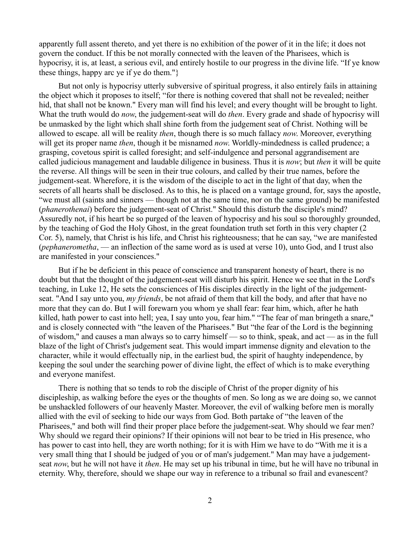apparently full assent thereto, and yet there is no exhibition of the power of it in the life; it does not govern the conduct. If this be not morally connected with the leaven of the Pharisees, which is hypocrisy, it is, at least, a serious evil, and entirely hostile to our progress in the divine life. "If ye know these things, happy arc ye if ye do them."}

But not only is hypocrisy utterly subversive of spiritual progress, it also entirely fails in attaining the object which it proposes to itself; "for there is nothing covered that shall not be revealed; neither hid, that shall not be known." Every man will find his level; and every thought will be brought to light. What the truth would do *now*, the judgement-seat will do *then*. Every grade and shade of hypocrisy will be unmasked by the light which shall shine forth from the judgement seat of Christ. Nothing will be allowed to escape. all will be reality *then*, though there is so much fallacy *now*. Moreover, everything will get its proper name *then*, though it be misnamed *now*. Worldly-mindedness is called prudence; a grasping, covetous spirit is called foresight; and self-indulgence and personal aggrandisement are called judicious management and laudable diligence in business. Thus it is *now*; but *then* it will be quite the reverse. All things will be seen in their true colours, and called by their true names, before the judgement-seat. Wherefore, it is the wisdom of the disciple to act in the light of that day, when the secrets of all hearts shall be disclosed. As to this, he is placed on a vantage ground, for, says the apostle, "we must all (saints and sinners — though not at the same time, nor on the same ground) be manifested (*phanerothenai*) before the judgement-seat of Christ." Should this disturb the disciple's mind? Assuredly not, if his heart be so purged of the leaven of hypocrisy and his soul so thoroughly grounded, by the teaching of God the Holy Ghost, in the great foundation truth set forth in this very chapter (2 Cor. 5), namely, that Christ is his life, and Christ his righteousness; that he can say, "we are manifested (*pephanerometha*, — an inflection of the same word as is used at verse 10), unto God, and I trust also are manifested in your consciences."

But if he be deficient in this peace of conscience and transparent honesty of heart, there is no doubt but that the thought of the judgement-seat will disturb his spirit. Hence we see that in the Lord's teaching, in Luke 12, He sets the consciences of His disciples directly in the light of the judgementseat. "And I say unto you, *my friends*, be not afraid of them that kill the body, and after that have no more that they can do. But I will forewarn you whom ye shall fear: fear him, which, after he hath killed, hath power to cast into hell; yea, I say unto you, fear him." "The fear of man bringeth a snare," and is closely connected with "the leaven of the Pharisees." But "the fear of the Lord is the beginning of wisdom," and causes a man always so to carry himself — so to think, speak, and act — as in the full blaze of the light of Christ's judgement seat. This would impart immense dignity and elevation to the character, while it would effectually nip, in the earliest bud, the spirit of haughty independence, by keeping the soul under the searching power of divine light, the effect of which is to make everything and everyone manifest.

There is nothing that so tends to rob the disciple of Christ of the proper dignity of his discipleship, as walking before the eyes or the thoughts of men. So long as we are doing so, we cannot be unshackled followers of our heavenly Master. Moreover, the evil of walking before men is morally allied with the evil of seeking to hide our ways from God. Both partake of "the leaven of the Pharisees," and both will find their proper place before the judgement-seat. Why should we fear men? Why should we regard their opinions? If their opinions will not bear to be tried in His presence, who has power to cast into hell, they are worth nothing; for it is with Him we have to do "With me it is a very small thing that I should be judged of you or of man's judgement." Man may have a judgementseat *now*, but he will not have it *then*. He may set up his tribunal in time, but he will have no tribunal in eternity. Why, therefore, should we shape our way in reference to a tribunal so frail and evanescent?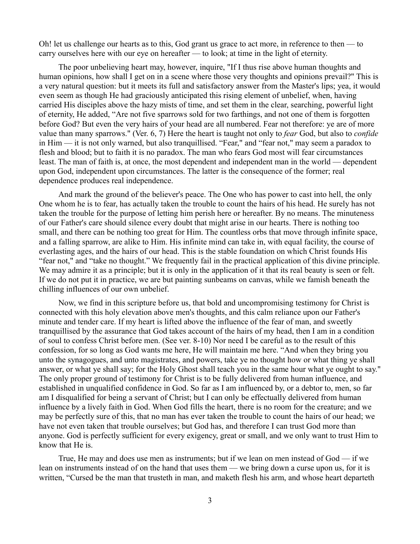Oh! let us challenge our hearts as to this, God grant us grace to act more, in reference to then — to carry ourselves here with our eye on hereafter — to look; at time in the light of eternity.

The poor unbelieving heart may, however, inquire, "If I thus rise above human thoughts and human opinions, how shall I get on in a scene where those very thoughts and opinions prevail?" This is a very natural question: but it meets its full and satisfactory answer from the Master's lips; yea, it would even seem as though He had graciously anticipated this rising element of unbelief, when, having carried His disciples above the hazy mists of time, and set them in the clear, searching, powerful light of eternity, He added, "Are not five sparrows sold for two farthings, and not one of them is forgotten before God? But even the very hairs of your head are all numbered. Fear not therefore: ye are of more value than many sparrows." (Ver. 6, 7) Here the heart is taught not only to *fear* God, but also to *confide* in Him — it is not only warned, but also tranquillised. "Fear," and "fear not," may seem a paradox to flesh and blood; but to faith it is no paradox. The man who fears God most will fear circumstances least. The man of faith is, at once, the most dependent and independent man in the world — dependent upon God, independent upon circumstances. The latter is the consequence of the former; real dependence produces real independence.

And mark the ground of the believer's peace. The One who has power to cast into hell, the only One whom he is to fear, has actually taken the trouble to count the hairs of his head. He surely has not taken the trouble for the purpose of letting him perish here or hereafter. By no means. The minuteness of our Father's care should silence every doubt that might arise in our hearts. There is nothing too small, and there can be nothing too great for Him. The countless orbs that move through infinite space, and a falling sparrow, are alike to Him. His infinite mind can take in, with equal facility, the course of everlasting ages, and the hairs of our head. This is the stable foundation on which Christ founds His "fear not," and "take no thought." We frequently fail in the practical application of this divine principle. We may admire it as a principle; but it is only in the application of it that its real beauty is seen or felt. If we do not put it in practice, we are but painting sunbeams on canvas, while we famish beneath the chilling influences of our own unbelief.

Now, we find in this scripture before us, that bold and uncompromising testimony for Christ is connected with this holy elevation above men's thoughts, and this calm reliance upon our Father's minute and tender care. If my heart is lifted above the influence of the fear of man, and sweetly tranquillised by the assurance that God takes account of the hairs of my head, then I am in a condition of soul to confess Christ before men. (See ver. 8-10) Nor need I be careful as to the result of this confession, for so long as God wants me here, He will maintain me here. "And when they bring you unto the synagogues, and unto magistrates, and powers, take ye no thought how or what thing ye shall answer, or what ye shall say; for the Holy Ghost shall teach you in the same hour what ye ought to say." The only proper ground of testimony for Christ is to be fully delivered from human influence, and established in unqualified confidence in God. So far as I am influenced by, or a debtor to, men, so far am I disqualified for being a servant of Christ; but I can only be effectually delivered from human influence by a lively faith in God. When God fills the heart, there is no room for the creature; and we may be perfectly sure of this, that no man has ever taken the trouble to count the hairs of our head; we have not even taken that trouble ourselves; but God has, and therefore I can trust God more than anyone. God is perfectly sufficient for every exigency, great or small, and we only want to trust Him to know that He is.

True, He may and does use men as instruments; but if we lean on men instead of God — if we lean on instruments instead of on the hand that uses them — we bring down a curse upon us, for it is written, "Cursed be the man that trusteth in man, and maketh flesh his arm, and whose heart departeth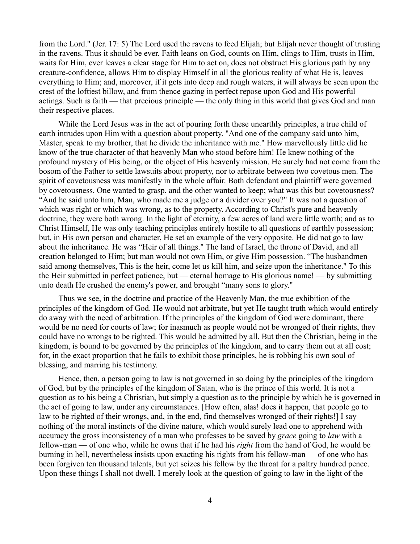from the Lord." (Jer. 17: 5) The Lord used the ravens to feed Elijah; but Elijah never thought of trusting in the ravens. Thus it should be ever. Faith leans on God, counts on Him, clings to Him, trusts in Him, waits for Him, ever leaves a clear stage for Him to act on, does not obstruct His glorious path by any creature-confidence, allows Him to display Himself in all the glorious reality of what He is, leaves everything to Him; and, moreover, if it gets into deep and rough waters, it will always be seen upon the crest of the loftiest billow, and from thence gazing in perfect repose upon God and His powerful actings. Such is faith — that precious principle — the only thing in this world that gives God and man their respective places.

While the Lord Jesus was in the act of pouring forth these unearthly principles, a true child of earth intrudes upon Him with a question about property. "And one of the company said unto him, Master, speak to my brother, that he divide the inheritance with me." How marvellously little did he know of the true character of that heavenly Man who stood before him! He knew nothing of the profound mystery of His being, or the object of His heavenly mission. He surely had not come from the bosom of the Father to settle lawsuits about property, nor to arbitrate between two covetous men. The spirit of covetousness was manifestly in the whole affair. Both defendant and plaintiff were governed by covetousness. One wanted to grasp, and the other wanted to keep; what was this but covetousness? "And he said unto him, Man, who made me a judge or a divider over you?" It was not a question of which was right or which was wrong, as to the property. According to Christ's pure and heavenly doctrine, they were both wrong. In the light of eternity, a few acres of land were little worth; and as to Christ Himself, He was only teaching principles entirely hostile to all questions of earthly possession; but, in His own person and character, He set an example of the very opposite. He did not go to law about the inheritance. He was "Heir of all things." The land of Israel, the throne of David, and all creation belonged to Him; but man would not own Him, or give Him possession. "The husbandmen said among themselves, This is the heir, come let us kill him, and seize upon the inheritance." To this the Heir submitted in perfect patience, but — eternal homage to His glorious name! — by submitting unto death He crushed the enemy's power, and brought "many sons to glory."

Thus we see, in the doctrine and practice of the Heavenly Man, the true exhibition of the principles of the kingdom of God. He would not arbitrate, but yet He taught truth which would entirely do away with the need of arbitration. If the principles of the kingdom of God were dominant, there would be no need for courts of law; for inasmuch as people would not be wronged of their rights, they could have no wrongs to be righted. This would be admitted by all. But then the Christian, being in the kingdom, is bound to be governed by the principles of the kingdom, and to carry them out at all cost; for, in the exact proportion that he fails to exhibit those principles, he is robbing his own soul of blessing, and marring his testimony.

Hence, then, a person going to law is not governed in so doing by the principles of the kingdom of God, but by the principles of the kingdom of Satan, who is the prince of this world. It is not a question as to his being a Christian, but simply a question as to the principle by which he is governed in the act of going to law, under any circumstances. [How often, alas! does it happen, that people go to law to be righted of their wrongs, and, in the end, find themselves wronged of their rights!] I say nothing of the moral instincts of the divine nature, which would surely lead one to apprehend with accuracy the gross inconsistency of a man who professes to be saved by *grace* going to *law* with a fellow-man — of one who, while he owns that if he had his *right* from the hand of God, he would be burning in hell, nevertheless insists upon exacting his rights from his fellow-man — of one who has been forgiven ten thousand talents, but yet seizes his fellow by the throat for a paltry hundred pence. Upon these things I shall not dwell. I merely look at the question of going to law in the light of the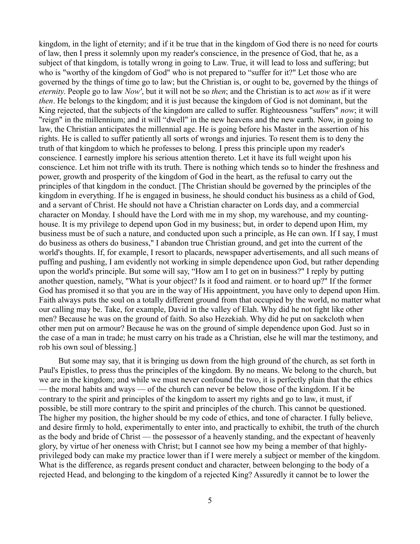kingdom, in the light of eternity; and if it be true that in the kingdom of God there is no need for courts of law, then I press it solemnly upon my reader's conscience, in the presence of God, that he, as a subject of that kingdom, is totally wrong in going to Law. True, it will lead to loss and suffering; but who is "worthy of the kingdom of God" who is not prepared to "suffer for it?" Let those who are governed by the things of time go to law; but the Christian is, or ought to be, governed by the things of *eternity*. People go to law *Now'*, but it will not be so *then*; and the Christian is to act *now* as if it were *then*. He belongs to the kingdom; and it is just because the kingdom of God is not dominant, but the King rejected, that the subjects of the kingdom are called to suffer. Righteousness "suffers" *now*; it will "reign" in the millennium; and it will "dwell" in the new heavens and the new earth. Now, in going to law, the Christian anticipates the millennial age. He is going before his Master in the assertion of his rights. He is called to suffer patiently all sorts of wrongs and injuries. To resent them is to deny the truth of that kingdom to which he professes to belong. I press this principle upon my reader's conscience. I earnestly implore his serious attention thereto. Let it have its full weight upon his conscience. Let him not trifle with its truth. There is nothing which tends so to hinder the freshness and power, growth and prosperity of the kingdom of God in the heart, as the refusal to carry out the principles of that kingdom in the conduct. [The Christian should be governed by the principles of the kingdom in everything. If he is engaged in business, he should conduct his business as a child of God, and a servant of Christ. He should not have a Christian character on Lords day, and a commercial character on Monday. I should have the Lord with me in my shop, my warehouse, and my countinghouse. It is my privilege to depend upon God in my business; but, in order to depend upon Him, my business must be of such a nature, and conducted upon such a principle, as He can own. If I say, I must do business as others do business," I abandon true Christian ground, and get into the current of the world's thoughts. If, for example, I resort to placards, newspaper advertisements, and all such means of puffing and pushing, I am evidently not working in simple dependence upon God, but rather depending upon the world's principle. But some will say, "How am I to get on in business?" I reply by putting another question, namely, "What is your object? Is it food and raiment. or to hoard up?" If the former God has promised it so that you are in the way of His appointment, you have only to depend upon Him. Faith always puts the soul on a totally different ground from that occupied by the world, no matter what our calling may be. Take, for example, David in the valley of Elah. Why did he not fight like other men? Because he was on the ground of faith. So also Hezekiah. Why did he put on sackcloth when other men put on armour? Because he was on the ground of simple dependence upon God. Just so in the case of a man in trade; he must carry on his trade as a Christian, else he will mar the testimony, and rob his own soul of blessing.]

But some may say, that it is bringing us down from the high ground of the church, as set forth in Paul's Epistles, to press thus the principles of the kingdom. By no means. We belong to the church, but we are in the kingdom; and while we must never confound the two, it is perfectly plain that the ethics — the moral habits and ways — of the church can never be below those of the kingdom. If it be contrary to the spirit and principles of the kingdom to assert my rights and go to law, it must, if possible, be still more contrary to the spirit and principles of the church. This cannot be questioned. The higher my position, the higher should be my code of ethics, and tone of character. I fully believe, and desire firmly to hold, experimentally to enter into, and practically to exhibit, the truth of the church as the body and bride of Christ — the possessor of a heavenly standing, and the expectant of heavenly glory, by virtue of her oneness with Christ; but I cannot see how my being a member of that highlyprivileged body can make my practice lower than if I were merely a subject or member of the kingdom. What is the difference, as regards present conduct and character, between belonging to the body of a rejected Head, and belonging to the kingdom of a rejected King? Assuredly it cannot be to lower the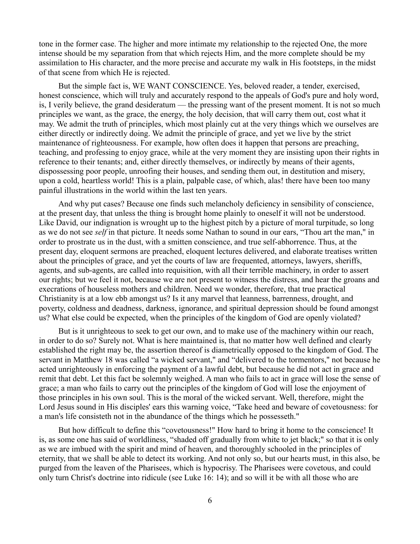tone in the former case. The higher and more intimate my relationship to the rejected One, the more intense should be my separation from that which rejects Him, and the more complete should be my assimilation to His character, and the more precise and accurate my walk in His footsteps, in the midst of that scene from which He is rejected.

But the simple fact is, WE WANT CONSCIENCE. Yes, beloved reader, a tender, exercised, honest conscience, which will truly and accurately respond to the appeals of God's pure and holy word, is, I verily believe, the grand desideratum — the pressing want of the present moment. It is not so much principles we want, as the grace, the energy, the holy decision, that will carry them out, cost what it may. We admit the truth of principles, which most plainly cut at the very things which we ourselves are either directly or indirectly doing. We admit the principle of grace, and yet we live by the strict maintenance of righteousness. For example, how often does it happen that persons are preaching, teaching, and professing to enjoy grace, while at the very moment they are insisting upon their rights in reference to their tenants; and, either directly themselves, or indirectly by means of their agents, dispossessing poor people, unroofing their houses, and sending them out, in destitution and misery, upon a cold, heartless world! This is a plain, palpable case, of which, alas! there have been too many painful illustrations in the world within the last ten years.

And why put cases? Because one finds such melancholy deficiency in sensibility of conscience, at the present day, that unless the thing is brought home plainly to oneself it will not be understood. Like David, our indignation is wrought up to the highest pitch by a picture of moral turpitude, so long as we do not see *self* in that picture. It needs some Nathan to sound in our ears, "Thou art the man," in order to prostrate us in the dust, with a smitten conscience, and true self-abhorrence. Thus, at the present day, eloquent sermons are preached, eloquent lectures delivered, and elaborate treatises written about the principles of grace, and yet the courts of law are frequented, attorneys, lawyers, sheriffs, agents, and sub-agents, are called into requisition, with all their terrible machinery, in order to assert our rights; but we feel it not, because we are not present to witness the distress, and hear the groans and execrations of houseless mothers and children. Need we wonder, therefore, that true practical Christianity is at a low ebb amongst us? Is it any marvel that leanness, barrenness, drought, and poverty, coldness and deadness, darkness, ignorance, and spiritual depression should be found amongst us? What else could be expected, when the principles of the kingdom of God are openly violated?

But is it unrighteous to seek to get our own, and to make use of the machinery within our reach, in order to do so? Surely not. What is here maintained is, that no matter how well defined and clearly established the right may be, the assertion thereof is diametrically opposed to the kingdom of God. The servant in Matthew 18 was called "a wicked servant," and "delivered to the tormentors," not because he acted unrighteously in enforcing the payment of a lawful debt, but because he did not act in grace and remit that debt. Let this fact be solemnly weighed. A man who fails to act in grace will lose the sense of grace; a man who fails to carry out the principles of the kingdom of God will lose the enjoyment of those principles in his own soul. This is the moral of the wicked servant. Well, therefore, might the Lord Jesus sound in His disciples' ears this warning voice, "Take heed and beware of covetousness: for a man's life consisteth not in the abundance of the things which he possesseth."

But how difficult to define this "covetousness!" How hard to bring it home to the conscience! It is, as some one has said of worldliness, "shaded off gradually from white to jet black;" so that it is only as we are imbued with the spirit and mind of heaven, and thoroughly schooled in the principles of eternity, that we shall be able to detect its working. And not only so, but our hearts must, in this also, be purged from the leaven of the Pharisees, which is hypocrisy. The Pharisees were covetous, and could only turn Christ's doctrine into ridicule (see Luke 16: 14); and so will it be with all those who are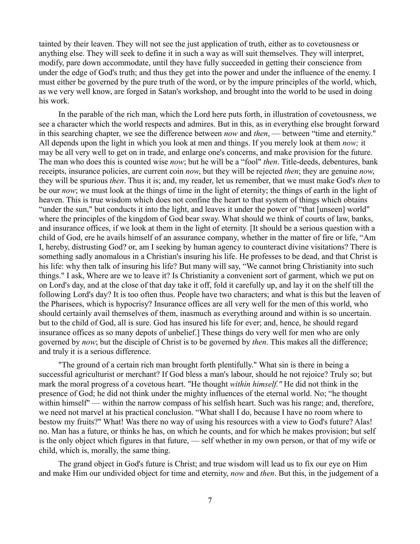tainted by their leaven. They will not see the just application of truth, either as to covetousness or anything else. They will seek to define it in such a way as will suit themselves. They will interpret, modify, pare down accommodate, until they have fully succeeded in getting their conscience from under the edge of God's truth; and thus they get into the power and under the influence of the enemy. I must either be governed by the pure truth of the word, or by the impure principles of the world, which, as we very well know, are forged in Satan's workshop, and brought into the world to be used in doing his work.

In the parable of the rich man, which the Lord here puts forth, in illustration of covetousness, we see a character which the world respects and admires. But in this, as in everything else brought forward in this searching chapter, we see the difference between *now* and *then*, — between "time and eternity." All depends upon the light in which you look at men and things. If you merely look at them *now;* it may be all very well to get on in trade, and enlarge one's concerns, and make provision for the future. The man who does this is counted wise *now*; but he will be a "fool" *then*. Title-deeds, debentures, bank receipts, insurance policies, are current coin *now*, but they will be rejected *then*; they are genuine *now*, they will be spurious *then*. Thus it is; and, my reader, let us remember, that we must make God's *then* to be our *now*; we must look at the things of time in the light of eternity; the things of earth in the light of heaven. This is true wisdom which does not confine the heart to that system of things which obtains "under the sun," but conducts it into the light, and leaves it under the power of "that [unseen] world" where the principles of the kingdom of God bear sway. What should we think of courts of law, banks, and insurance offices, if we look at them in the light of eternity. [It should be a serious question with a child of God, ere he avails himself of an assurance company, whether in the matter of fire or life, "Am I, hereby, distrusting God? or, am I seeking by human agency to counteract divine visitations? There is something sadly anomalous in a Christian's insuring his life. He professes to be dead, and that Christ is his life: why then talk of insuring his life? But many will say, "We cannot bring Christianity into such things." I ask, Where are we to leave it? Is Christianity a convenient sort of garment, which we put on on Lord's day, and at the close of that day take it off, fold it carefully up, and lay it on the shelf till the following Lord's day? It is too often thus. People have two characters; and what is this but the leaven of the Pharisees, which is hypocrisy? Insurance offices are all very well for the men of this world, who should certainly avail themselves of them, inasmuch as everything around and within is so uncertain. but to the child of God, all is sure. God has insured his life for ever; and, hence, he should regard insurance offices as so many depots of unbelief.] These things do very well for men who are only governed by *now*; but the disciple of Christ is to be governed by *then*. This makes all the difference; and truly it is a serious difference.

"The ground of a certain rich man brought forth plentifully." What sin is there in being a successful agriculturist or merchant? If God bless a man's labour, should he not rejoice? Truly so; but mark the moral progress of a covetous heart. "He thought *within himself."* He did not think in the presence of God; he did not think under the mighty influences of the eternal world. No; "he thought within himself" — within the narrow compass of his selfish heart. Such was his range; and, therefore, we need not marvel at his practical conclusion. "What shall I do, because I have no room where to bestow my fruits?" What! Was there no way of using his resources with a view to God's future? Alas! no. Man has a future, or thinks he has, on which he counts, and for which he makes provision; but self is the only object which figures in that future, — self whether in my own person, or that of my wife or child, which is, morally, the same thing.

The grand object in God's future is Christ; and true wisdom will lead us to fix our eye on Him and make Him our undivided object for time and eternity, *now* and *then*. But this, in the judgement of a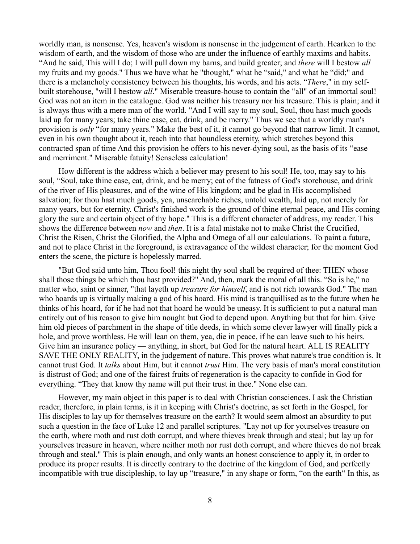worldly man, is nonsense. Yes, heaven's wisdom is nonsense in the judgement of earth. Hearken to the wisdom of earth, and the wisdom of those who are under the influence of earthly maxims and habits. "And he said, This will I do; I will pull down my barns, and build greater; and *there* will I bestow *all* my fruits and my goods." Thus we have what he "thought," what he "said," and what he "did;" and there is a melancholy consistency between his thoughts, his words, and his acts. "*There*," in my selfbuilt storehouse, "will I bestow *all*." Miserable treasure-house to contain the "all" of an immortal soul! God was not an item in the catalogue. God was neither his treasury nor his treasure. This is plain; and it is always thus with a mere man of the world. "And I will say to my soul, Soul, thou hast much goods laid up for many years; take thine ease, eat, drink, and be merry." Thus we see that a worldly man's provision is *only* "for many years." Make the best of it, it cannot go beyond that narrow limit. It cannot, even in his own thought about it, reach into that boundless eternity, which stretches beyond this contracted span of time And this provision he offers to his never-dying soul, as the basis of its "ease and merriment." Miserable fatuity! Senseless calculation!

How different is the address which a believer may present to his soul! He, too, may say to his soul, "Soul, take thine ease, eat, drink, and be merry; eat of the fatness of God's storehouse, and drink of the river of His pleasures, and of the wine of His kingdom; and be glad in His accomplished salvation; for thou hast much goods, yea, unsearchable riches, untold wealth, laid up, not merely for many years, but for eternity. Christ's finished work is the ground of thine eternal peace, and His coming glory the sure and certain object of thy hope." This is a different character of address, my reader. This shows the difference between *now* and *then*. It is a fatal mistake not to make Christ the Crucified, Christ the Risen, Christ the Glorified, the Alpha and Omega of all our calculations. To paint a future, and not to place Christ in the foreground, is extravagance of the wildest character; for the moment God enters the scene, the picture is hopelessly marred.

"But God said unto him, Thou fool! this night thy soul shall be required of thee: THEN whose shall those things be which thou hast provided?" And, then, mark the moral of all this. "So is he," no matter who, saint or sinner, "that layeth up *treasure for himself*, and is not rich towards God." The man who hoards up is virtually making a god of his hoard. His mind is tranquillised as to the future when he thinks of his hoard, for if he had not that hoard he would be uneasy. It is sufficient to put a natural man entirely out of his reason to give him nought but God to depend upon. Anything but that for him. Give him old pieces of parchment in the shape of title deeds, in which some clever lawyer will finally pick a hole, and prove worthless. He will lean on them, yea, die in peace, if he can leave such to his heirs. Give him an insurance policy — anything, in short, but God for the natural heart. ALL IS REALITY SAVE THE ONLY REALITY, in the judgement of nature. This proves what nature's true condition is. It cannot trust God. It *talks* about Him, but it cannot *trust* Him. The very basis of man's moral constitution is distrust of God; and one of the fairest fruits of regeneration is the capacity to confide in God for everything. "They that know thy name will put their trust in thee." None else can.

However, my main object in this paper is to deal with Christian consciences. I ask the Christian reader, therefore, in plain terms, is it in keeping with Christ's doctrine, as set forth in the Gospel, for His disciples to lay up for themselves treasure on the earth? It would seem almost an absurdity to put such a question in the face of Luke 12 and parallel scriptures. "Lay not up for yourselves treasure on the earth, where moth and rust doth corrupt, and where thieves break through and steal; but lay up for yourselves treasure in heaven, where neither moth nor rust doth corrupt, and where thieves do not break through and steal." This is plain enough, and only wants an honest conscience to apply it, in order to produce its proper results. It is directly contrary to the doctrine of the kingdom of God, and perfectly incompatible with true discipleship, to lay up "treasure," in any shape or form, "on the earth" In this, as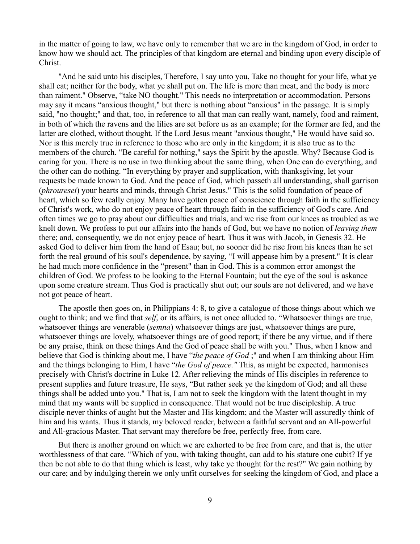in the matter of going to law, we have only to remember that we are in the kingdom of God, in order to know how we should act. The principles of that kingdom are eternal and binding upon every disciple of Christ.

"And he said unto his disciples, Therefore, I say unto you, Take no thought for your life, what ye shall eat; neither for the body, what ye shall put on. The life is more than meat, and the body is more than raiment." Observe, "take NO thought." This needs no interpretation or accommodation. Persons may say it means "anxious thought," but there is nothing about "anxious" in the passage. It is simply said, "no thought;" and that, too, in reference to all that man can really want, namely, food and raiment, in both of which the ravens and the lilies are set before us as an example; for the former are fed, and the latter are clothed, without thought. If the Lord Jesus meant "anxious thought," He would have said so. Nor is this merely true in reference to those who are only in the kingdom; it is also true as to the members of the church. "Be careful for nothing," says the Spirit by the apostle. Why? Because God is caring for you. There is no use in two thinking about the same thing, when One can do everything, and the other can do nothing. "In everything by prayer and supplication, with thanksgiving, let your requests be made known to God. And the peace of God, which passeth all understanding, shall garrison (*phrouresei*) your hearts and minds, through Christ Jesus." This is the solid foundation of peace of heart, which so few really enjoy. Many have gotten peace of conscience through faith in the sufficiency of Christ's work, who do not enjoy peace of heart through faith in the sufficiency of God's care. And often times we go to pray about our difficulties and trials, and we rise from our knees as troubled as we knelt down. We profess to put our affairs into the hands of God, but we have no notion of *leaving them* there; and, consequently, we do not enjoy peace of heart. Thus it was with Jacob, in Genesis 32. He asked God to deliver him from the hand of Esau; but, no sooner did he rise from his knees than he set forth the real ground of his soul's dependence, by saying, "I will appease him by a present." It is clear he had much more confidence in the "present" than in God. This is a common error amongst the children of God. We profess to be looking to the Eternal Fountain; but the eye of the soul is askance upon some creature stream. Thus God is practically shut out; our souls are not delivered, and we have not got peace of heart.

The apostle then goes on, in Philippians 4: 8, to give a catalogue of those things about which we ought to think; and we find that *self*, or its affairs, is not once alluded to. "Whatsoever things are true, whatsoever things are venerable (*semna*) whatsoever things are just, whatsoever things are pure, whatsoever things are lovely, whatsoever things are of good report; if there be any virtue, and if there be any praise, think on these things And the God of peace shall be with you." Thus, when I know and believe that God is thinking about me, I have "*the peace of God* ;" and when I am thinking about Him and the things belonging to Him, I have "*the God of peace."* This, as might be expected, harmonises precisely with Christ's doctrine in Luke 12. After relieving the minds of His disciples in reference to present supplies and future treasure, He says, "But rather seek ye the kingdom of God; and all these things shall be added unto you." That is, I am not to seek the kingdom with the latent thought in my mind that my wants will be supplied in consequence. That would not be true discipleship. A true disciple never thinks of aught but the Master and His kingdom; and the Master will assuredly think of him and his wants. Thus it stands, my beloved reader, between a faithful servant and an All-powerful and All-gracious Master. That servant may therefore be free, perfectly free, from care.

But there is another ground on which we are exhorted to be free from care, and that is, the utter worthlessness of that care. "Which of you, with taking thought, can add to his stature one cubit? If ye then be not able to do that thing which is least, why take ye thought for the rest?" We gain nothing by our care; and by indulging therein we only unfit ourselves for seeking the kingdom of God, and place a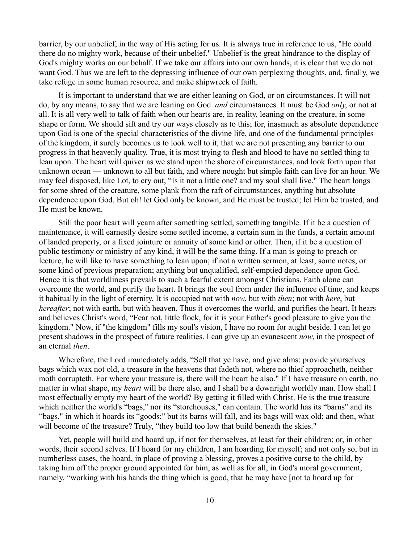barrier, by our unbelief, in the way of His acting for us. It is always true in reference to us, "He could there do no mighty work, because of their unbelief." Unbelief is the great hindrance to the display of God's mighty works on our behalf. If we take our affairs into our own hands, it is clear that we do not want God. Thus we are left to the depressing influence of our own perplexing thoughts, and, finally, we take refuge in some human resource, and make shipwreck of faith.

It is important to understand that we are either leaning on God, or on circumstances. It will not do, by any means, to say that we are leaning on God. *and* circumstances. It must be God *only*, or not at all. It is all very well to talk of faith when our hearts are, in reality, leaning on the creature, in some shape or form. We should sift and try our ways closely as to this; for, inasmuch as absolute dependence upon God is one of the special characteristics of the divine life, and one of the fundamental principles of the kingdom, it surely becomes us to look well to it, that we are not presenting any barrier to our progress in that heavenly quality. True, it is most trying to flesh and blood to have no settled thing to lean upon. The heart will quiver as we stand upon the shore of circumstances, and look forth upon that unknown ocean — unknown to all but faith, and where nought but simple faith can live for an hour. We may feel disposed, like Lot, to cry out, "Is it not a little one? and my soul shall live." The heart longs for some shred of the creature, some plank from the raft of circumstances, anything but absolute dependence upon God. But oh! let God only be known, and He must be trusted; let Him be trusted, and He must be known.

Still the poor heart will yearn after something settled, something tangible. If it be a question of maintenance, it will earnestly desire some settled income, a certain sum in the funds, a certain amount of landed property, or a fixed jointure or annuity of some kind or other. Then, if it be a question of public testimony or ministry of any kind, it will be the same thing. If a man is going to preach or lecture, he will like to have something to lean upon; if not a written sermon, at least, some notes, or some kind of previous preparation; anything but unqualified, self-emptied dependence upon God. Hence it is that worldliness prevails to such a fearful extent amongst Christians. Faith alone can overcome the world, and purify the heart. It brings the soul from under the influence of time, and keeps it habitually in the light of eternity. It is occupied not with *now*, but with *then*; not with *here*, but *hereafter*; not with earth, but with heaven. Thus it overcomes the world, and purifies the heart. It hears and believes Christ's word, "Fear not, little flock, for it is your Father's good pleasure to give you the kingdom." Now, if "the kingdom" fills my soul's vision, I have no room for aught beside. I can let go present shadows in the prospect of future realities. I can give up an evanescent *now*, in the prospect of an eternal *then*.

Wherefore, the Lord immediately adds, "Sell that ye have, and give alms: provide yourselves bags which wax not old, a treasure in the heavens that fadeth not, where no thief approacheth, neither moth corrupteth. For where your treasure is, there will the heart be also." If I have treasure on earth, no matter in what shape, my *heart* will be there also, and I shall be a downright worldly man. How shall I most effectually empty my heart of the world? By getting it filled with Christ. He is the true treasure which neither the world's "bags," nor its "storehouses," can contain. The world has its "barns" and its "bags," in which it hoards its "goods;" but its barns will fall, and its bags will wax old; and then, what will become of the treasure? Truly, "they build too low that build beneath the skies."

Yet, people will build and hoard up, if not for themselves, at least for their children; or, in other words, their second selves. If I hoard for my children, I am hoarding for myself; and not only so, but in numberless cases, the hoard, in place of proving a blessing, proves a positive curse to the child, by taking him off the proper ground appointed for him, as well as for all, in God's moral government, namely, "working with his hands the thing which is good, that he may have [not to hoard up for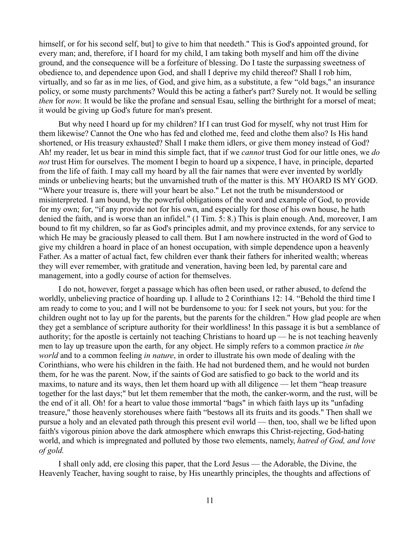himself, or for his second self, but] to give to him that needeth." This is God's appointed ground, for every man; and, therefore, if I hoard for my child, I am taking both myself and him off the divine ground, and the consequence will be a forfeiture of blessing. Do I taste the surpassing sweetness of obedience to, and dependence upon God, and shall I deprive my child thereof? Shall I rob him, virtually, and so far as in me lies, of God, and give him, as a substitute, a few "old bags," an insurance policy, or some musty parchments? Would this be acting a father's part? Surely not. It would be selling *then* for *now*. It would be like the profane and sensual Esau, selling the birthright for a morsel of meat; it would be giving up God's future for man's present.

But why need I hoard up for my children? If I can trust God for myself, why not trust Him for them likewise? Cannot the One who has fed and clothed me, feed and clothe them also? Is His hand shortened, or His treasury exhausted? Shall I make them idlers, or give them money instead of God? Ah! my reader, let us bear in mind this simple fact, that if we *cannot* trust God for our little ones, we *do not* trust Him for ourselves. The moment I begin to hoard up a sixpence, I have, in principle, departed from the life of faith. I may call my hoard by all the fair names that were ever invented by worldly minds or unbelieving hearts; but the unvarnished truth of the matter is this. MY HOARD IS MY GOD. "Where your treasure is, there will your heart be also." Let not the truth be misunderstood or misinterpreted. I am bound, by the powerful obligations of the word and example of God, to provide for my own; for, "if any provide not for his own, and especially for those of his own house, he hath denied the faith, and is worse than an infidel." (1 Tim. 5: 8.) This is plain enough. And, moreover, I am bound to fit my children, so far as God's principles admit, and my province extends, for any service to which He may be graciously pleased to call them. But I am nowhere instructed in the word of God to give my children a hoard in place of an honest occupation, with simple dependence upon a heavenly Father. As a matter of actual fact, few children ever thank their fathers for inherited wealth; whereas they will ever remember, with gratitude and veneration, having been led, by parental care and management, into a godly course of action for themselves.

I do not, however, forget a passage which has often been used, or rather abused, to defend the worldly, unbelieving practice of hoarding up. I allude to 2 Corinthians 12: 14. "Behold the third time I am ready to come to you; and I will not be burdensome to you: for I seek not yours, but you: for the children ought not to lay up for the parents, but the parents for the children." How glad people are when they get a semblance of scripture authority for their worldliness! In this passage it is but a semblance of authority; for the apostle is certainly not teaching Christians to hoard up — he is not teaching heavenly men to lay up treasure upon the earth, for any object. He simply refers to a common practice *in the world* and to a common feeling *in nature*, in order to illustrate his own mode of dealing with the Corinthians, who were his children in the faith. He had not burdened them, and he would not burden them, for he was the parent. Now, if the saints of God are satisfied to go back to the world and its maxims, to nature and its ways, then let them hoard up with all diligence — let them "heap treasure together for the last days;" but let them remember that the moth, the canker-worm, and the rust, will be the end of it all. Oh! for a heart to value those immortal "bags" in which faith lays up its "unfading treasure," those heavenly storehouses where faith "bestows all its fruits and its goods." Then shall we pursue a holy and an elevated path through this present evil world — then, too, shall we be lifted upon faith's vigorous pinion above the dark atmosphere which enwraps this Christ-rejecting, God-hating world, and which is impregnated and polluted by those two elements, namely, *hatred of God, and love of gold.*

I shall only add, ere closing this paper, that the Lord Jesus — the Adorable, the Divine, the Heavenly Teacher, having sought to raise, by His unearthly principles, the thoughts and affections of